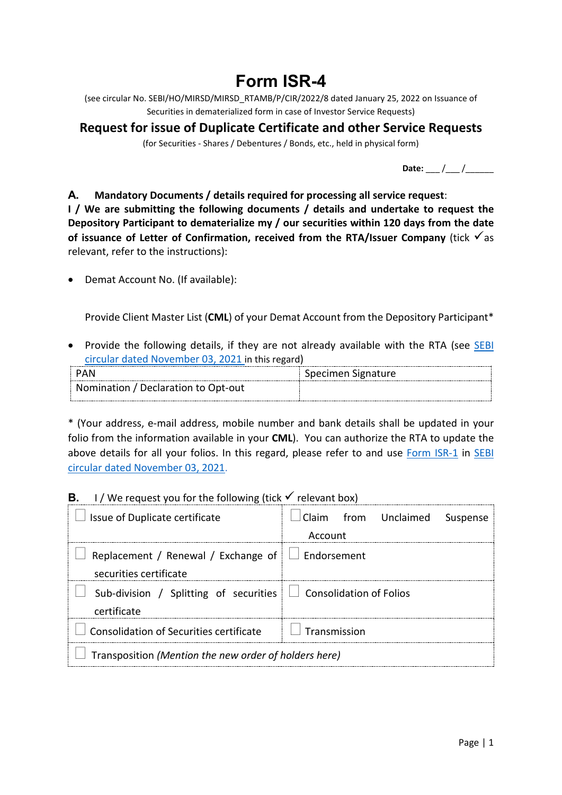# **Form ISR-4**

(see circular No. SEBI/HO/MIRSD/MIRSD\_RTAMB/P/CIR/2022/8 dated January 25, 2022 on Issuance of Securities in dematerialized form in case of Investor Service Requests)

## **Request for issue of Duplicate Certificate and other Service Requests**

(for Securities - Shares / Debentures / Bonds, etc., held in physical form)

Date: \_\_\_ /\_\_\_ /\_\_\_\_\_\_

#### **A. Mandatory Documents / details required for processing all service request**:

**I / We are submitting the following documents / details and undertake to request the Depository Participant to dematerialize my / our securities within 120 days from the date**  of **issuance of Letter of Confirmation, received from the RTA/Issuer Company** (tick  $\checkmark$  as relevant, refer to the instructions):

• Demat Account No. (If available):

Provide Client Master List (**CML**) of your Demat Account from the Depository Participant\*

• Provide the following details, if they are not already available with the RTA (see SEBI [circular dated November 03, 2021](https://www.sebi.gov.in/legal/circulars/nov-2021/common-and-simplified-norms-for-processing-investor-s-service-request-by-rtas-and-norms-for-furnishing-pan-kyc-details-and-nomination_53787.html) in this regard)

| PAN                                 | Specimen Signature |
|-------------------------------------|--------------------|
|                                     |                    |
| Nomination / Declaration to Opt-out |                    |

\* (Your address, e-mail address, mobile number and bank details shall be updated in your folio from the information available in your **CML**). You can authorize the RTA to update the above details for all your folios. In this regard, please refer to and use [Form ISR-1](https://www.sebi.gov.in/sebi_data/commondocs/dec-2021/pdf%20Form%20ISR-1%20(1)_p.pdf) in [SEBI](https://www.sebi.gov.in/legal/circulars/nov-2021/common-and-simplified-norms-for-processing-investor-s-service-request-by-rtas-and-norms-for-furnishing-pan-kyc-details-and-nomination_53787.html)  [circular dated November 03, 2021.](https://www.sebi.gov.in/legal/circulars/nov-2021/common-and-simplified-norms-for-processing-investor-s-service-request-by-rtas-and-norms-for-furnishing-pan-kyc-details-and-nomination_53787.html)

### **B.** I / We request you for the following (tick  $\checkmark$  relevant box)

| I Issue of Duplicate certificate                                                     | Claim from Unclaimed Suspense |  |  |  |
|--------------------------------------------------------------------------------------|-------------------------------|--|--|--|
|                                                                                      | Account                       |  |  |  |
| Replacement / Renewal / Exchange of $\Box$ Endorsement                               |                               |  |  |  |
| securities certificate                                                               |                               |  |  |  |
| Sub-division / Splitting of securities $\Box$ Consolidation of Folios<br>certificate |                               |  |  |  |
| Consolidation of Securities certificate                                              | $\vert \vert$   Transmission  |  |  |  |
| Transposition (Mention the new order of holders here)                                |                               |  |  |  |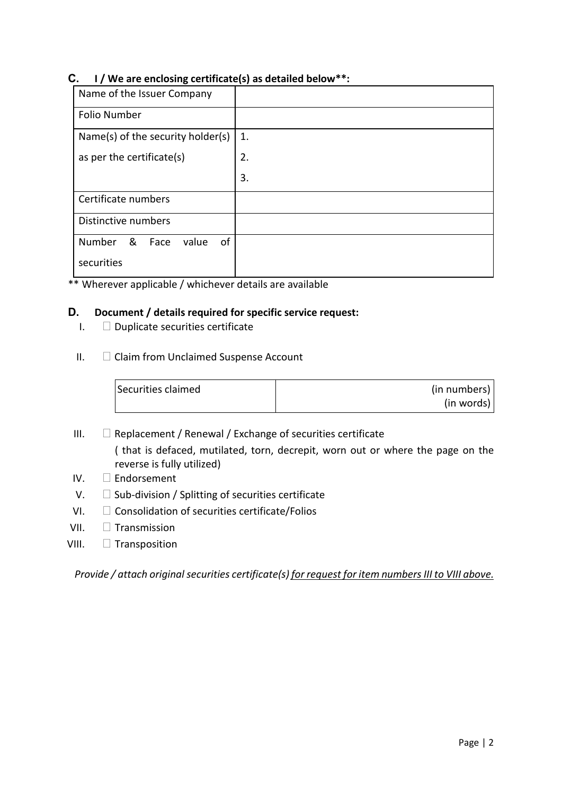#### **C. I / We are enclosing certificate(s) as detailed below\*\*:**

| Name of the Issuer Company         |    |
|------------------------------------|----|
| <b>Folio Number</b>                |    |
| Name(s) of the security holder(s)  | 1. |
| as per the certificate(s)          | 2. |
|                                    | 3. |
| Certificate numbers                |    |
| Distinctive numbers                |    |
| &<br>of<br>Number<br>value<br>Face |    |
| securities                         |    |

\*\* Wherever applicable / whichever details are available

#### **D. Document / details required for specific service request:**

- $I.$   $\Box$  Duplicate securities certificate
- $II.$   $\Box$  Claim from Unclaimed Suspense Account

| Securities claimed | (in numbers) |
|--------------------|--------------|
|                    | (in words)   |

- III.  $\Box$  Replacement / Renewal / Exchange of securities certificate ( that is defaced, mutilated, torn, decrepit, worn out or where the page on the reverse is fully utilized)
- IV. Endorsement
- $V.$   $\square$  Sub-division / Splitting of securities certificate
- VI.  $\Box$  Consolidation of securities certificate/Folios
- VII.  $\Box$  Transmission
- VIII. **Transposition**

*Provide / attach original securities certificate(s) for request for item numbers III to VIII above.*